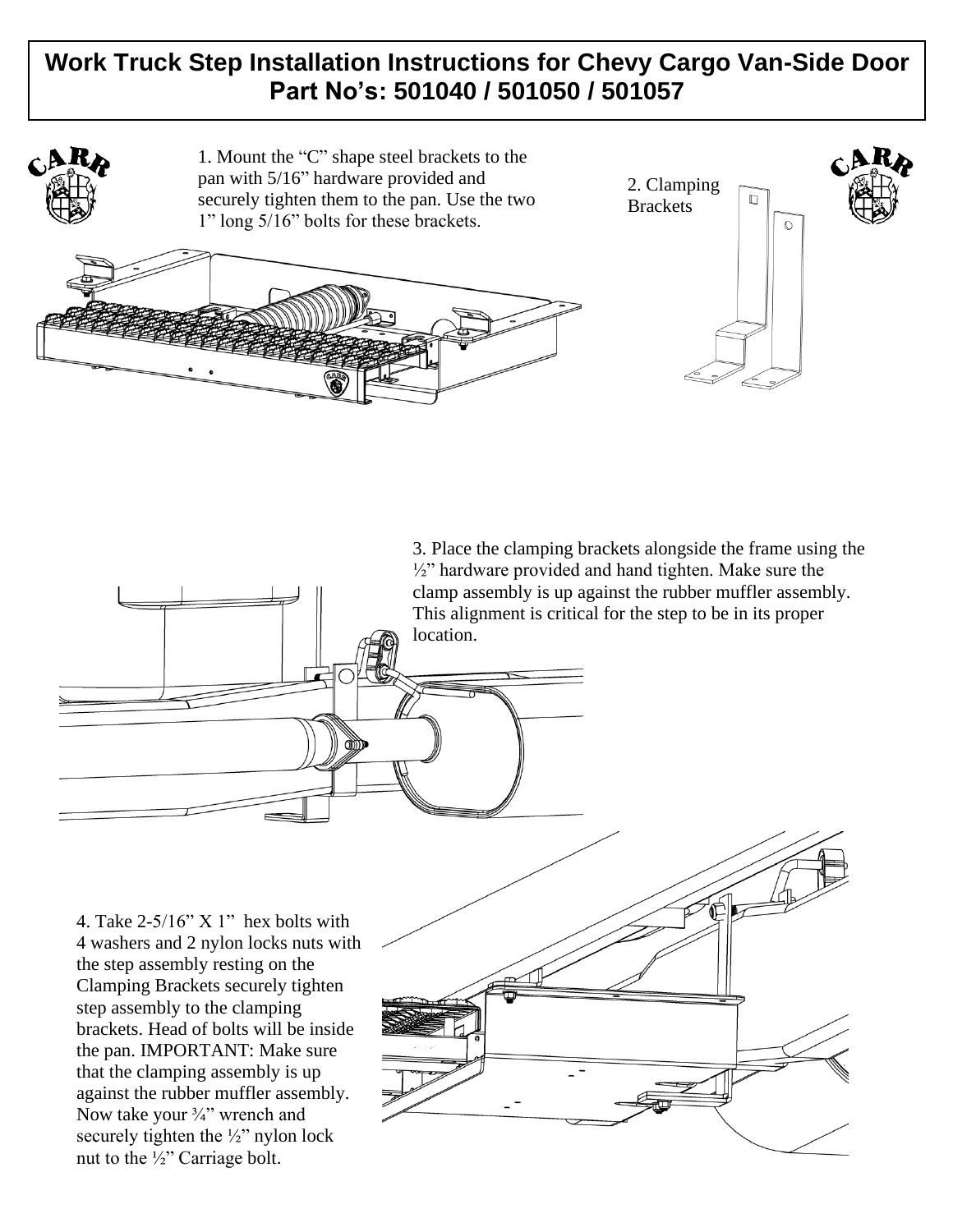# **Work Truck Step Installation Instructions for Chevy Cargo Van-Side Door Part No's: 501040 / 501050 / 501057**



3. Place the clamping brackets alongside the frame using the ½" hardware provided and hand tighten. Make sure the clamp assembly is up against the rubber muffler assembly. This alignment is critical for the step to be in its proper location.

4. Take  $2-5/16$ " X 1" hex bolts with 4 washers and 2 nylon locks nuts with the step assembly resting on the Clamping Brackets securely tighten step assembly to the clamping brackets. Head of bolts will be inside the pan. IMPORTANT: Make sure that the clamping assembly is up against the rubber muffler assembly. Now take your  $\frac{3}{4}$ " wrench and securely tighten the  $\frac{1}{2}$ " nylon lock nut to the ½" Carriage bolt.

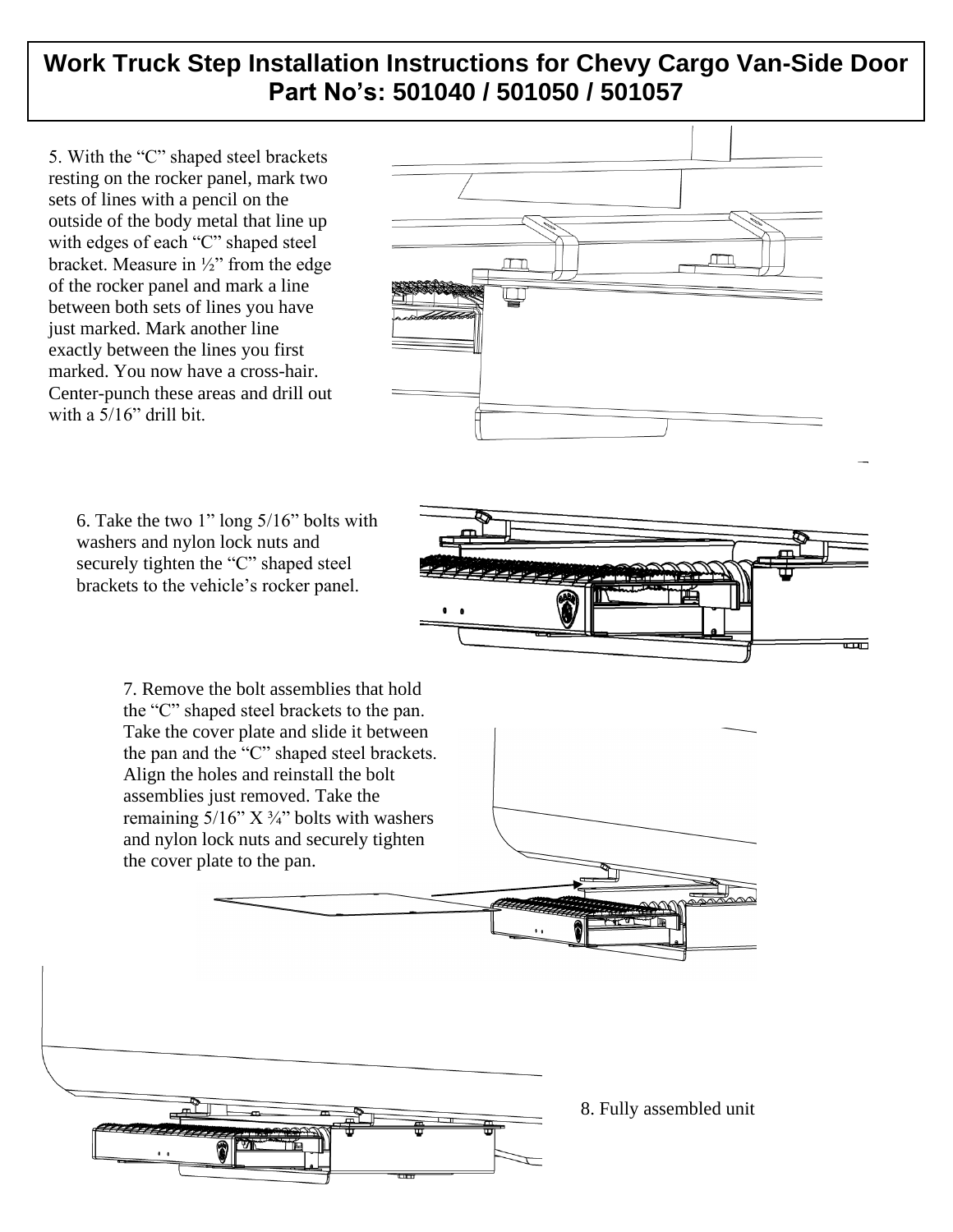## **Work Truck Step Installation Instructions for Chevy Cargo Van-Side Door Part No's: 501040 / 501050 / 501057**

5. With the "C" shaped steel brackets resting on the rocker panel, mark two sets of lines with a pencil on the outside of the body metal that line up with edges of each "C" shaped steel bracket. Measure in ½" from the edge of the rocker panel and mark a line between both sets of lines you have just marked. Mark another line exactly between the lines you first marked. You now have a cross-hair. Center-punch these areas and drill out with a 5/16" drill bit.



6. Take the two 1" long 5/16" bolts with washers and nylon lock nuts and securely tighten the "C" shaped steel brackets to the vehicle's rocker panel.

> 7. Remove the bolt assemblies that hold the "C" shaped steel brackets to the pan. Take the cover plate and slide it between the pan and the "C" shaped steel brackets. Align the holes and reinstall the bolt assemblies just removed. Take the remaining  $5/16$ " X  $\frac{3}{4}$ " bolts with washers and nylon lock nuts and securely tighten the cover plate to the pan.



אוו

ᡂ



8. Fully assembled unit